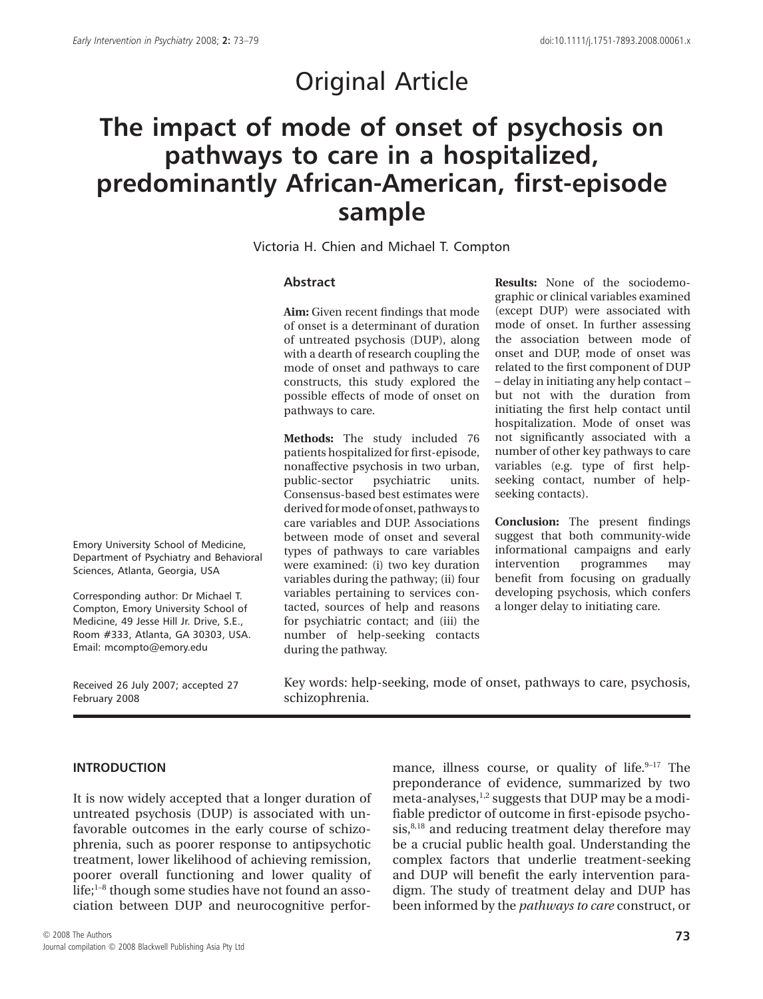# Original Article

# **The impact of mode of onset of psychosis on pathways to care in a hospitalized, predominantly African-American, first-episode sample**

Victoria H. Chien and Michael T. Compton

#### **Abstract**

**Aim:** Given recent findings that mode of onset is a determinant of duration of untreated psychosis (DUP), along with a dearth of research coupling the mode of onset and pathways to care constructs, this study explored the possible effects of mode of onset on pathways to care.

**Methods:** The study included 76 patients hospitalized for first-episode, nonaffective psychosis in two urban, public-sector psychiatric units. Consensus-based best estimates were derived formode of onset, pathways to care variables and DUP. Associations between mode of onset and several types of pathways to care variables were examined: (i) two key duration variables during the pathway; (ii) four variables pertaining to services contacted, sources of help and reasons for psychiatric contact; and (iii) the number of help-seeking contacts during the pathway.

**Results:** None of the sociodemographic or clinical variables examined (except DUP) were associated with mode of onset. In further assessing the association between mode of onset and DUP, mode of onset was related to the first component of DUP – delay in initiating any help contact – but not with the duration from initiating the first help contact until hospitalization. Mode of onset was not significantly associated with a number of other key pathways to care variables (e.g. type of first helpseeking contact, number of helpseeking contacts).

**Conclusion:** The present findings suggest that both community-wide informational campaigns and early intervention programmes may benefit from focusing on gradually developing psychosis, which confers a longer delay to initiating care.

Emory University School of Medicine, Department of Psychiatry and Behavioral Sciences, Atlanta, Georgia, USA

Corresponding author: Dr Michael T. Compton, Emory University School of Medicine, 49 Jesse Hill Jr. Drive, S.E., Room #333, Atlanta, GA 30303, USA. Email: [mcompto@emory.edu](mailto:mcompto@emory.edu)

Received 26 July 2007; accepted 27 February 2008

Key words: help-seeking, mode of onset, pathways to care, psychosis, schizophrenia.

#### **INTRODUCTION**

It is now widely accepted that a longer duration of untreated psychosis (DUP) is associated with unfavorable outcomes in the early course of schizophrenia, such as poorer response to antipsychotic treatment, lower likelihood of achieving remission, poorer overall functioning and lower quality of life; $1-8$  though some studies have not found an association between DUP and neurocognitive performance, illness course, or quality of life. $9-17$  The preponderance of evidence, summarized by two meta-analyses,<sup>1,2</sup> suggests that DUP may be a modifiable predictor of outcome in first-episode psychosis,<sup>8,18</sup> and reducing treatment delay therefore may be a crucial public health goal. Understanding the complex factors that underlie treatment-seeking and DUP will benefit the early intervention paradigm. The study of treatment delay and DUP has been informed by the *pathways to care* construct, or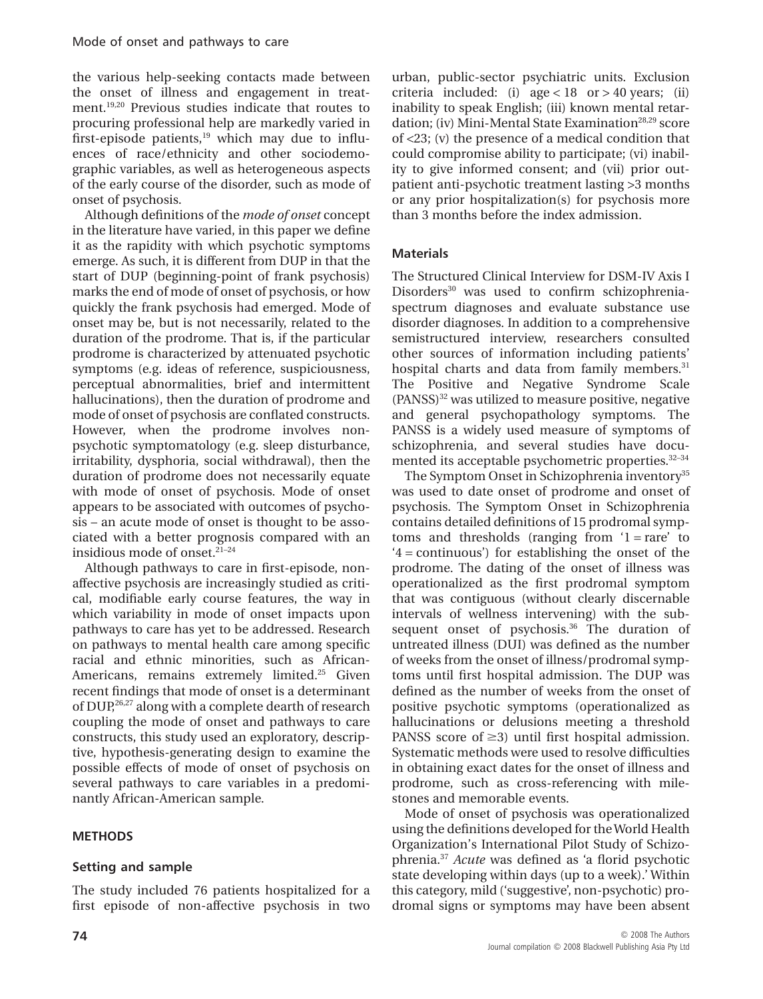the various help-seeking contacts made between the onset of illness and engagement in treatment.19,20 Previous studies indicate that routes to procuring professional help are markedly varied in first-episode patients, $19$  which may due to influences of race/ethnicity and other sociodemographic variables, as well as heterogeneous aspects of the early course of the disorder, such as mode of onset of psychosis.

Although definitions of the *mode of onset* concept in the literature have varied, in this paper we define it as the rapidity with which psychotic symptoms emerge. As such, it is different from DUP in that the start of DUP (beginning-point of frank psychosis) marks the end of mode of onset of psychosis, or how quickly the frank psychosis had emerged. Mode of onset may be, but is not necessarily, related to the duration of the prodrome. That is, if the particular prodrome is characterized by attenuated psychotic symptoms (e.g. ideas of reference, suspiciousness, perceptual abnormalities, brief and intermittent hallucinations), then the duration of prodrome and mode of onset of psychosis are conflated constructs. However, when the prodrome involves nonpsychotic symptomatology (e.g. sleep disturbance, irritability, dysphoria, social withdrawal), then the duration of prodrome does not necessarily equate with mode of onset of psychosis. Mode of onset appears to be associated with outcomes of psychosis – an acute mode of onset is thought to be associated with a better prognosis compared with an insidious mode of onset.21–24

Although pathways to care in first-episode, nonaffective psychosis are increasingly studied as critical, modifiable early course features, the way in which variability in mode of onset impacts upon pathways to care has yet to be addressed. Research on pathways to mental health care among specific racial and ethnic minorities, such as African-Americans, remains extremely limited.<sup>25</sup> Given recent findings that mode of onset is a determinant of DUP,<sup>26,27</sup> along with a complete dearth of research coupling the mode of onset and pathways to care constructs, this study used an exploratory, descriptive, hypothesis-generating design to examine the possible effects of mode of onset of psychosis on several pathways to care variables in a predominantly African-American sample.

# **METHODS**

# **Setting and sample**

The study included 76 patients hospitalized for a first episode of non-affective psychosis in two urban, public-sector psychiatric units. Exclusion criteria included: (i)  $age < 18$  or  $> 40$  years; (ii) inability to speak English; (iii) known mental retardation; (iv) Mini-Mental State Examination<sup>28,29</sup> score of <23; (v) the presence of a medical condition that could compromise ability to participate; (vi) inability to give informed consent; and (vii) prior outpatient anti-psychotic treatment lasting >3 months or any prior hospitalization(s) for psychosis more than 3 months before the index admission.

# **Materials**

The Structured Clinical Interview for DSM-IV Axis I Disorders<sup>30</sup> was used to confirm schizophreniaspectrum diagnoses and evaluate substance use disorder diagnoses. In addition to a comprehensive semistructured interview, researchers consulted other sources of information including patients' hospital charts and data from family members.<sup>31</sup> The Positive and Negative Syndrome Scale  $(PANSS)<sup>32</sup>$  was utilized to measure positive, negative and general psychopathology symptoms. The PANSS is a widely used measure of symptoms of schizophrenia, and several studies have documented its acceptable psychometric properties.32–34

The Symptom Onset in Schizophrenia inventory<sup>35</sup> was used to date onset of prodrome and onset of psychosis. The Symptom Onset in Schizophrenia contains detailed definitions of 15 prodromal symptoms and thresholds (ranging from  $1 = rare'$  to '4 = continuous') for establishing the onset of the prodrome. The dating of the onset of illness was operationalized as the first prodromal symptom that was contiguous (without clearly discernable intervals of wellness intervening) with the subsequent onset of psychosis.<sup>36</sup> The duration of untreated illness (DUI) was defined as the number of weeks from the onset of illness/prodromal symptoms until first hospital admission. The DUP was defined as the number of weeks from the onset of positive psychotic symptoms (operationalized as hallucinations or delusions meeting a threshold PANSS score of  $\geq$ 3) until first hospital admission. Systematic methods were used to resolve difficulties in obtaining exact dates for the onset of illness and prodrome, such as cross-referencing with milestones and memorable events.

Mode of onset of psychosis was operationalized using the definitions developed for theWorld Health Organization's International Pilot Study of Schizophrenia.37 *Acute* was defined as 'a florid psychotic state developing within days (up to a week).' Within this category, mild ('suggestive', non-psychotic) prodromal signs or symptoms may have been absent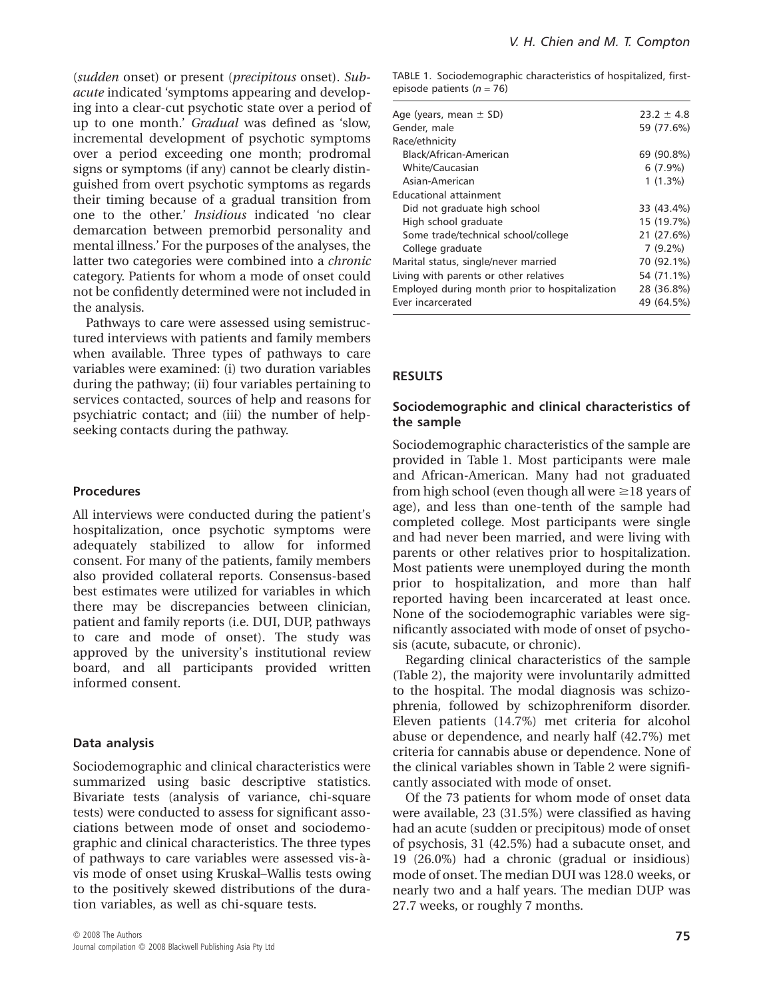(*sudden* onset) or present (*precipitous* onset). *Subacute* indicated 'symptoms appearing and developing into a clear-cut psychotic state over a period of up to one month.' *Gradual* was defined as 'slow, incremental development of psychotic symptoms over a period exceeding one month; prodromal signs or symptoms (if any) cannot be clearly distinguished from overt psychotic symptoms as regards their timing because of a gradual transition from one to the other.' *Insidious* indicated 'no clear demarcation between premorbid personality and mental illness.' For the purposes of the analyses, the latter two categories were combined into a *chronic* category. Patients for whom a mode of onset could not be confidently determined were not included in the analysis.

Pathways to care were assessed using semistructured interviews with patients and family members when available. Three types of pathways to care variables were examined: (i) two duration variables during the pathway; (ii) four variables pertaining to services contacted, sources of help and reasons for psychiatric contact; and (iii) the number of helpseeking contacts during the pathway.

#### **Procedures**

All interviews were conducted during the patient's hospitalization, once psychotic symptoms were adequately stabilized to allow for informed consent. For many of the patients, family members also provided collateral reports. Consensus-based best estimates were utilized for variables in which there may be discrepancies between clinician, patient and family reports (i.e. DUI, DUP, pathways to care and mode of onset). The study was approved by the university's institutional review board, and all participants provided written informed consent.

#### **Data analysis**

Sociodemographic and clinical characteristics were summarized using basic descriptive statistics. Bivariate tests (analysis of variance, chi-square tests) were conducted to assess for significant associations between mode of onset and sociodemographic and clinical characteristics. The three types of pathways to care variables were assessed vis-àvis mode of onset using Kruskal–Wallis tests owing to the positively skewed distributions of the duration variables, as well as chi-square tests.

TABLE 1. Sociodemographic characteristics of hospitalized, firstepisode patients (*n* = 76)

| Age (years, mean $\pm$ SD)                     | $23.2 \pm 4.8$ |
|------------------------------------------------|----------------|
| Gender, male                                   | 59 (77.6%)     |
| Race/ethnicity                                 |                |
| Black/African-American                         | 69 (90.8%)     |
| <b>White/Caucasian</b>                         | $6(7.9\%)$     |
| Asian-American                                 | $1(1.3\%)$     |
| Educational attainment                         |                |
| Did not graduate high school                   | 33 (43.4%)     |
| High school graduate                           | 15 (19.7%)     |
| Some trade/technical school/college            | 21 (27.6%)     |
| College graduate                               | $7(9.2\%)$     |
| Marital status, single/never married           | 70 (92.1%)     |
| Living with parents or other relatives         | 54 (71.1%)     |
| Employed during month prior to hospitalization | 28 (36.8%)     |
| Ever incarcerated                              | 49 (64.5%)     |
|                                                |                |

#### **RESULTS**

#### **Sociodemographic and clinical characteristics of the sample**

Sociodemographic characteristics of the sample are provided in Table 1. Most participants were male and African-American. Many had not graduated from high school (even though all were  $\geq$  18 years of age), and less than one-tenth of the sample had completed college. Most participants were single and had never been married, and were living with parents or other relatives prior to hospitalization. Most patients were unemployed during the month prior to hospitalization, and more than half reported having been incarcerated at least once. None of the sociodemographic variables were significantly associated with mode of onset of psychosis (acute, subacute, or chronic).

Regarding clinical characteristics of the sample (Table 2), the majority were involuntarily admitted to the hospital. The modal diagnosis was schizophrenia, followed by schizophreniform disorder. Eleven patients (14.7%) met criteria for alcohol abuse or dependence, and nearly half (42.7%) met criteria for cannabis abuse or dependence. None of the clinical variables shown in Table 2 were significantly associated with mode of onset.

Of the 73 patients for whom mode of onset data were available, 23 (31.5%) were classified as having had an acute (sudden or precipitous) mode of onset of psychosis, 31 (42.5%) had a subacute onset, and 19 (26.0%) had a chronic (gradual or insidious) mode of onset. The median DUI was 128.0 weeks, or nearly two and a half years. The median DUP was 27.7 weeks, or roughly 7 months.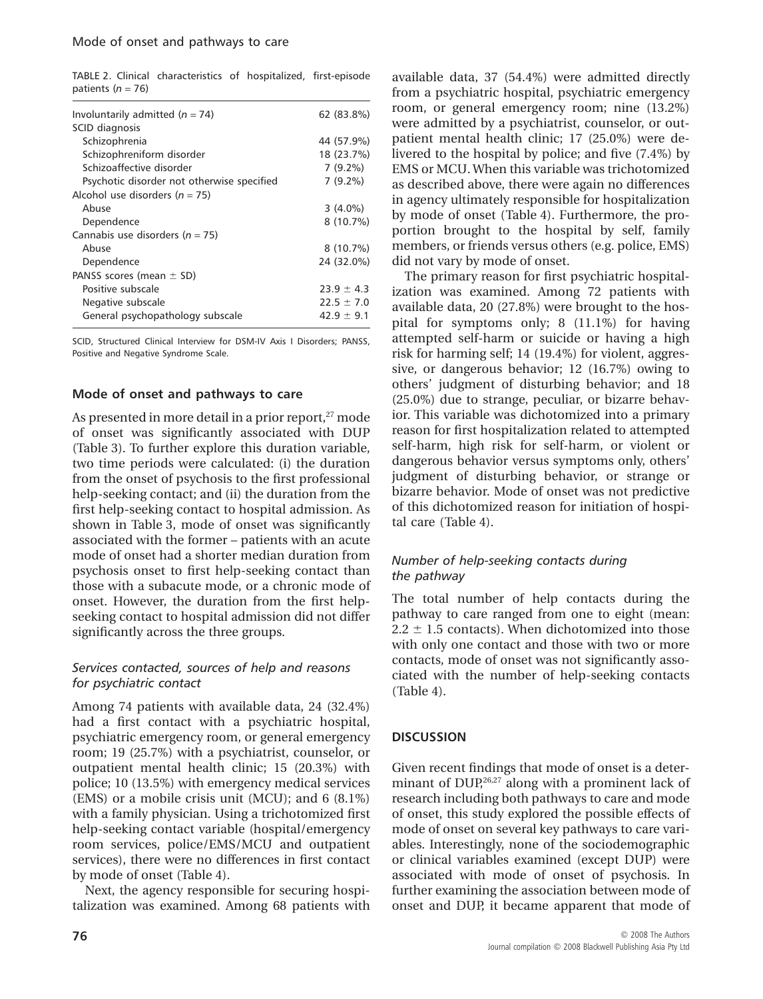TABLE 2. Clinical characteristics of hospitalized, first-episode patients (*n* = 76)

| Involuntarily admitted ( $n = 74$ )        | 62 (83.8%)     |
|--------------------------------------------|----------------|
| SCID diagnosis                             |                |
| Schizophrenia                              | 44 (57.9%)     |
| Schizophreniform disorder                  | 18 (23.7%)     |
| Schizoaffective disorder                   | $7(9.2\%)$     |
| Psychotic disorder not otherwise specified | $7(9.2\%)$     |
| Alcohol use disorders ( $n = 75$ )         |                |
| Abuse                                      | $3(4.0\%)$     |
| Dependence                                 | $8(10.7\%)$    |
| Cannabis use disorders ( $n = 75$ )        |                |
| Abuse                                      | $8(10.7\%)$    |
| Dependence                                 | 24 (32.0%)     |
| PANSS scores (mean $\pm$ SD)               |                |
| Positive subscale                          | $23.9 \pm 4.3$ |
| Negative subscale                          | $22.5 \pm 7.0$ |
| General psychopathology subscale           | $42.9 \pm 9.1$ |
|                                            |                |

SCID, Structured Clinical Interview for DSM-IV Axis I Disorders; PANSS, Positive and Negative Syndrome Scale.

### **Mode of onset and pathways to care**

As presented in more detail in a prior report, $27$  mode of onset was significantly associated with DUP (Table 3). To further explore this duration variable, two time periods were calculated: (i) the duration from the onset of psychosis to the first professional help-seeking contact; and (ii) the duration from the first help-seeking contact to hospital admission. As shown in Table 3, mode of onset was significantly associated with the former – patients with an acute mode of onset had a shorter median duration from psychosis onset to first help-seeking contact than those with a subacute mode, or a chronic mode of onset. However, the duration from the first helpseeking contact to hospital admission did not differ significantly across the three groups.

### *Services contacted, sources of help and reasons for psychiatric contact*

Among 74 patients with available data, 24 (32.4%) had a first contact with a psychiatric hospital, psychiatric emergency room, or general emergency room; 19 (25.7%) with a psychiatrist, counselor, or outpatient mental health clinic; 15 (20.3%) with police; 10 (13.5%) with emergency medical services (EMS) or a mobile crisis unit (MCU); and 6 (8.1%) with a family physician. Using a trichotomized first help-seeking contact variable (hospital/emergency room services, police/EMS/MCU and outpatient services), there were no differences in first contact by mode of onset (Table 4).

Next, the agency responsible for securing hospitalization was examined. Among 68 patients with available data, 37 (54.4%) were admitted directly from a psychiatric hospital, psychiatric emergency room, or general emergency room; nine (13.2%) were admitted by a psychiatrist, counselor, or outpatient mental health clinic; 17 (25.0%) were delivered to the hospital by police; and five (7.4%) by EMS or MCU.When this variable was trichotomized as described above, there were again no differences in agency ultimately responsible for hospitalization by mode of onset (Table 4). Furthermore, the proportion brought to the hospital by self, family members, or friends versus others (e.g. police, EMS) did not vary by mode of onset.

The primary reason for first psychiatric hospitalization was examined. Among 72 patients with available data, 20 (27.8%) were brought to the hospital for symptoms only; 8 (11.1%) for having attempted self-harm or suicide or having a high risk for harming self; 14 (19.4%) for violent, aggressive, or dangerous behavior; 12 (16.7%) owing to others' judgment of disturbing behavior; and 18 (25.0%) due to strange, peculiar, or bizarre behavior. This variable was dichotomized into a primary reason for first hospitalization related to attempted self-harm, high risk for self-harm, or violent or dangerous behavior versus symptoms only, others' judgment of disturbing behavior, or strange or bizarre behavior. Mode of onset was not predictive of this dichotomized reason for initiation of hospital care (Table 4).

## *Number of help-seeking contacts during the pathway*

The total number of help contacts during the pathway to care ranged from one to eight (mean:  $2.2 \pm 1.5$  contacts). When dichotomized into those with only one contact and those with two or more contacts, mode of onset was not significantly associated with the number of help-seeking contacts (Table 4).

## **DISCUSSION**

Given recent findings that mode of onset is a determinant of  $DUP<sub>1</sub><sup>26,27</sup>$  along with a prominent lack of research including both pathways to care and mode of onset, this study explored the possible effects of mode of onset on several key pathways to care variables. Interestingly, none of the sociodemographic or clinical variables examined (except DUP) were associated with mode of onset of psychosis. In further examining the association between mode of onset and DUP, it became apparent that mode of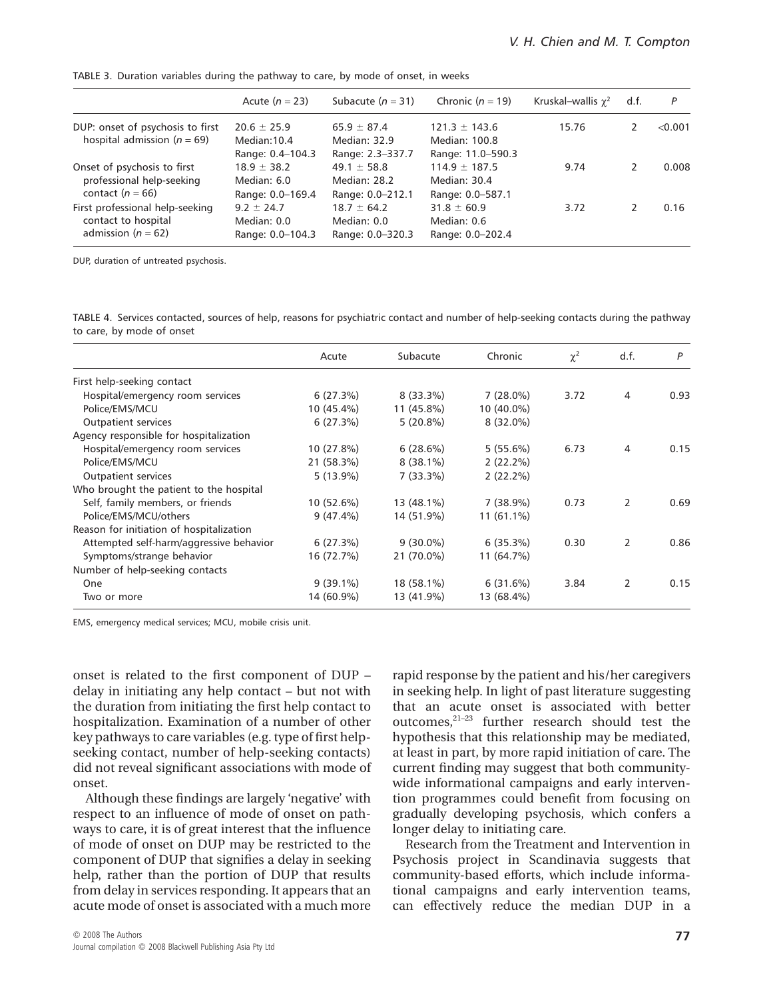TABLE 3. Duration variables during the pathway to care, by mode of onset, in weeks

|                                                                                  | Acute $(n = 23)$                                    | Subacute $(n = 31)$                                 | Chronic $(n = 19)$                                      | Kruskal-wallis $\gamma^2$ | d.f. | P       |
|----------------------------------------------------------------------------------|-----------------------------------------------------|-----------------------------------------------------|---------------------------------------------------------|---------------------------|------|---------|
| DUP: onset of psychosis to first<br>hospital admission ( $n = 69$ )              | $20.6 \pm 25.9$<br>Median: 10.4<br>Range: 0.4-104.3 | $65.9 \pm 87.4$<br>Median: 32.9<br>Range: 2.3-337.7 | $121.3 \pm 143.6$<br>Median: 100.8<br>Range: 11.0-590.3 | 15.76                     |      | < 0.001 |
| Onset of psychosis to first<br>professional help-seeking<br>contact $(n = 66)$   | $18.9 \pm 38.2$<br>Median: 6.0<br>Range: 0.0-169.4  | $49.1 \pm 58.8$<br>Median: 28.2<br>Range: 0.0-212.1 | $114.9 \pm 187.5$<br>Median: 30.4<br>Range: 0.0-587.1   | 9.74                      |      | 0.008   |
| First professional help-seeking<br>contact to hospital<br>admission ( $n = 62$ ) | $9.2 \pm 24.7$<br>Median: 0.0<br>Range: 0.0-104.3   | $18.7 \pm 64.2$<br>Median: 0.0<br>Range: 0.0-320.3  | $31.8 \pm 60.9$<br>Median: 0.6<br>Range: 0.0-202.4      | 3.72                      |      | 0.16    |

DUP, duration of untreated psychosis.

TABLE 4. Services contacted, sources of help, reasons for psychiatric contact and number of help-seeking contacts during the pathway to care, by mode of onset

|                                          | Acute       | Subacute    | Chronic      | $\chi^2$ | d.f. | P    |
|------------------------------------------|-------------|-------------|--------------|----------|------|------|
| First help-seeking contact               |             |             |              |          |      |      |
| Hospital/emergency room services         | 6(27.3%)    | $8(33.3\%)$ | $7(28.0\%)$  | 3.72     | 4    | 0.93 |
| Police/EMS/MCU                           | 10 (45.4%)  | 11 (45.8%)  | 10 (40.0%)   |          |      |      |
| Outpatient services                      | 6(27.3%)    | 5(20.8%)    | $8(32.0\%)$  |          |      |      |
| Agency responsible for hospitalization   |             |             |              |          |      |      |
| Hospital/emergency room services         | 10 (27.8%)  | 6(28.6%)    | $5(55.6\%)$  | 6.73     | 4    | 0.15 |
| Police/EMS/MCU                           | 21 (58.3%)  | $8(38.1\%)$ | $2(22.2\%)$  |          |      |      |
| Outpatient services                      | $5(13.9\%)$ | $7(33.3\%)$ | $2(22.2\%)$  |          |      |      |
| Who brought the patient to the hospital  |             |             |              |          |      |      |
| Self, family members, or friends         | 10 (52.6%)  | 13 (48.1%)  | $7(38.9\%)$  | 0.73     | 2    | 0.69 |
| Police/EMS/MCU/others                    | $9(47.4\%)$ | 14 (51.9%)  | $11(61.1\%)$ |          |      |      |
| Reason for initiation of hospitalization |             |             |              |          |      |      |
| Attempted self-harm/aggressive behavior  | 6(27.3%)    | $9(30.0\%)$ | $6(35.3\%)$  | 0.30     | 2    | 0.86 |
| Symptoms/strange behavior                | 16 (72.7%)  | 21 (70.0%)  | 11 (64.7%)   |          |      |      |
| Number of help-seeking contacts          |             |             |              |          |      |      |
| One                                      | $9(39.1\%)$ | 18 (58.1%)  | 6(31.6%)     | 3.84     | 2    | 0.15 |
| Two or more                              | 14 (60.9%)  | 13 (41.9%)  | 13 (68.4%)   |          |      |      |

EMS, emergency medical services; MCU, mobile crisis unit.

onset is related to the first component of DUP – delay in initiating any help contact – but not with the duration from initiating the first help contact to hospitalization. Examination of a number of other key pathways to care variables (e.g. type of first helpseeking contact, number of help-seeking contacts) did not reveal significant associations with mode of onset.

Although these findings are largely 'negative' with respect to an influence of mode of onset on pathways to care, it is of great interest that the influence of mode of onset on DUP may be restricted to the component of DUP that signifies a delay in seeking help, rather than the portion of DUP that results from delay in services responding. It appears that an acute mode of onset is associated with a much more

rapid response by the patient and his/her caregivers in seeking help. In light of past literature suggesting that an acute onset is associated with better outcomes,21–23 further research should test the hypothesis that this relationship may be mediated, at least in part, by more rapid initiation of care. The current finding may suggest that both communitywide informational campaigns and early intervention programmes could benefit from focusing on gradually developing psychosis, which confers a longer delay to initiating care.

Research from the Treatment and Intervention in Psychosis project in Scandinavia suggests that community-based efforts, which include informational campaigns and early intervention teams, can effectively reduce the median DUP in a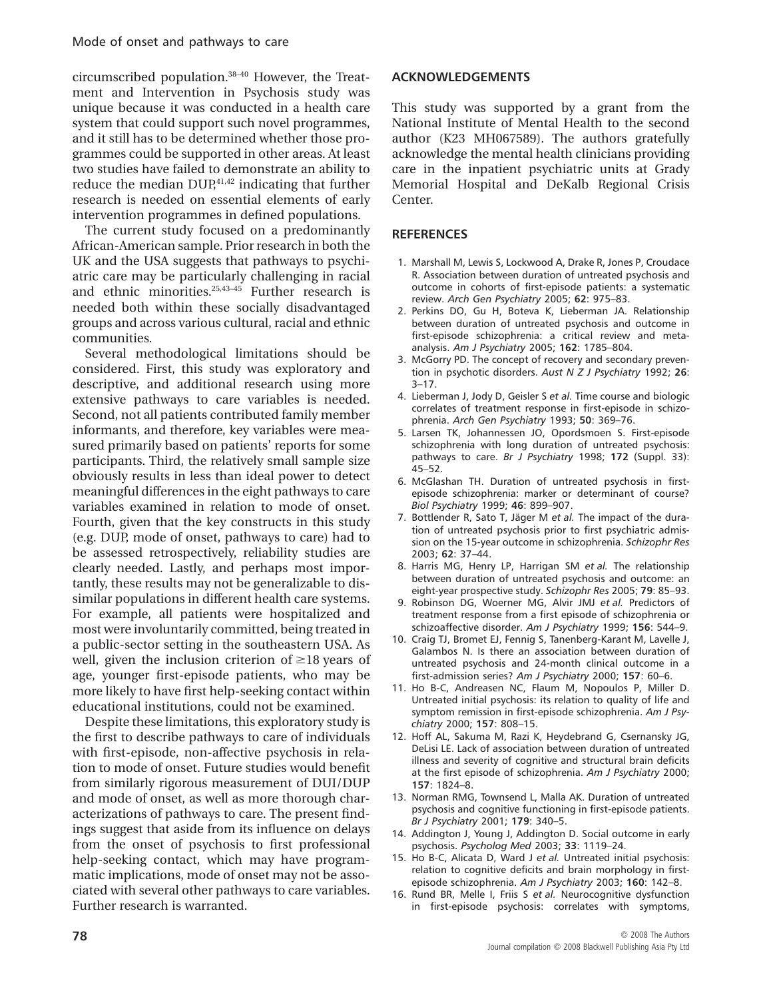circumscribed population.38–40 However, the Treatment and Intervention in Psychosis study was unique because it was conducted in a health care system that could support such novel programmes, and it still has to be determined whether those programmes could be supported in other areas. At least two studies have failed to demonstrate an ability to reduce the median  $DUP<sub>1</sub><sup>41,42</sup>$  indicating that further research is needed on essential elements of early intervention programmes in defined populations.

The current study focused on a predominantly African-American sample. Prior research in both the UK and the USA suggests that pathways to psychiatric care may be particularly challenging in racial and ethnic minorities.<sup>25,43-45</sup> Further research is needed both within these socially disadvantaged groups and across various cultural, racial and ethnic communities.

Several methodological limitations should be considered. First, this study was exploratory and descriptive, and additional research using more extensive pathways to care variables is needed. Second, not all patients contributed family member informants, and therefore, key variables were measured primarily based on patients' reports for some participants. Third, the relatively small sample size obviously results in less than ideal power to detect meaningful differences in the eight pathways to care variables examined in relation to mode of onset. Fourth, given that the key constructs in this study (e.g. DUP, mode of onset, pathways to care) had to be assessed retrospectively, reliability studies are clearly needed. Lastly, and perhaps most importantly, these results may not be generalizable to dissimilar populations in different health care systems. For example, all patients were hospitalized and most were involuntarily committed, being treated in a public-sector setting in the southeastern USA. As well, given the inclusion criterion of  $\geq$ 18 years of age, younger first-episode patients, who may be more likely to have first help-seeking contact within educational institutions, could not be examined.

Despite these limitations, this exploratory study is the first to describe pathways to care of individuals with first-episode, non-affective psychosis in relation to mode of onset. Future studies would benefit from similarly rigorous measurement of DUI/DUP and mode of onset, as well as more thorough characterizations of pathways to care. The present findings suggest that aside from its influence on delays from the onset of psychosis to first professional help-seeking contact, which may have programmatic implications, mode of onset may not be associated with several other pathways to care variables. Further research is warranted.

# **ACKNOWLEDGEMENTS**

This study was supported by a grant from the National Institute of Mental Health to the second author (K23 MH067589). The authors gratefully acknowledge the mental health clinicians providing care in the inpatient psychiatric units at Grady Memorial Hospital and DeKalb Regional Crisis Center.

## **REFERENCES**

- 1. Marshall M, Lewis S, Lockwood A, Drake R, Jones P, Croudace R. Association between duration of untreated psychosis and outcome in cohorts of first-episode patients: a systematic review. *Arch Gen Psychiatry* 2005; **62**: 975–83.
- 2. Perkins DO, Gu H, Boteva K, Lieberman JA. Relationship between duration of untreated psychosis and outcome in first-episode schizophrenia: a critical review and metaanalysis. *Am J Psychiatry* 2005; **162**: 1785–804.
- 3. McGorry PD. The concept of recovery and secondary prevention in psychotic disorders. *Aust N Z J Psychiatry* 1992; **26**: 3–17.
- 4. Lieberman J, Jody D, Geisler S *et al.* Time course and biologic correlates of treatment response in first-episode in schizophrenia. *Arch Gen Psychiatry* 1993; **50**: 369–76.
- 5. Larsen TK, Johannessen JO, Opordsmoen S. First-episode schizophrenia with long duration of untreated psychosis: pathways to care. *Br J Psychiatry* 1998; **172** (Suppl. 33): 45–52.
- 6. McGlashan TH. Duration of untreated psychosis in firstepisode schizophrenia: marker or determinant of course? *Biol Psychiatry* 1999; **46**: 899–907.
- 7. Bottlender R, Sato T, Jäger M *et al.* The impact of the duration of untreated psychosis prior to first psychiatric admission on the 15-year outcome in schizophrenia. *Schizophr Res* 2003; **62**: 37–44.
- 8. Harris MG, Henry LP, Harrigan SM *et al.* The relationship between duration of untreated psychosis and outcome: an eight-year prospective study. *Schizophr Res* 2005; **79**: 85–93.
- 9. Robinson DG, Woerner MG, Alvir JMJ *et al.* Predictors of treatment response from a first episode of schizophrenia or schizoaffective disorder. *Am J Psychiatry* 1999; **156**: 544–9.
- 10. Craig TJ, Bromet EJ, Fennig S, Tanenberg-Karant M, Lavelle J, Galambos N. Is there an association between duration of untreated psychosis and 24-month clinical outcome in a first-admission series? *Am J Psychiatry* 2000; **157**: 60–6.
- 11. Ho B-C, Andreasen NC, Flaum M, Nopoulos P, Miller D. Untreated initial psychosis: its relation to quality of life and symptom remission in first-episode schizophrenia. *Am J Psychiatry* 2000; **157**: 808–15.
- 12. Hoff AL, Sakuma M, Razi K, Heydebrand G, Csernansky JG, DeLisi LE. Lack of association between duration of untreated illness and severity of cognitive and structural brain deficits at the first episode of schizophrenia. *Am J Psychiatry* 2000; **157**: 1824–8.
- 13. Norman RMG, Townsend L, Malla AK. Duration of untreated psychosis and cognitive functioning in first-episode patients. *Br J Psychiatry* 2001; **179**: 340–5.
- 14. Addington J, Young J, Addington D. Social outcome in early psychosis. *Psycholog Med* 2003; **33**: 1119–24.
- 15. Ho B-C, Alicata D, Ward J *et al.* Untreated initial psychosis: relation to cognitive deficits and brain morphology in firstepisode schizophrenia. *Am J Psychiatry* 2003; **160**: 142–8.
- 16. Rund BR, Melle I, Friis S *et al.* Neurocognitive dysfunction in first-episode psychosis: correlates with symptoms,